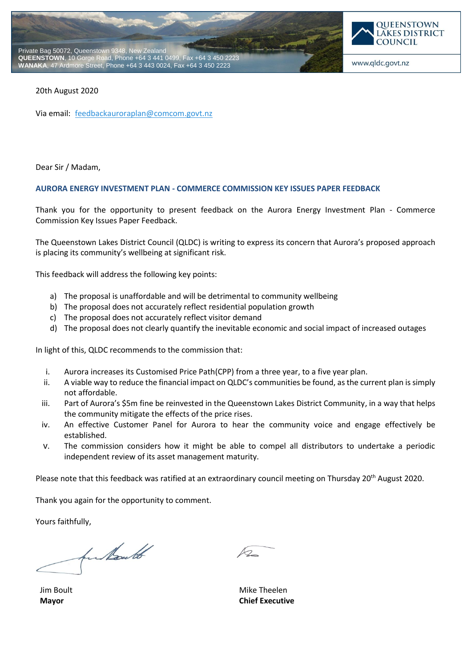



#### 20th August 2020

Via email: [feedbackauroraplan@comcom.govt.nz](mailto:feedbackauroraplan@comcom.govt.nz)

Dear Sir / Madam,

#### **AURORA ENERGY INVESTMENT PLAN - COMMERCE COMMISSION KEY ISSUES PAPER FEEDBACK**

Thank you for the opportunity to present feedback on the Aurora Energy Investment Plan - Commerce Commission Key Issues Paper Feedback.

The Queenstown Lakes District Council (QLDC) is writing to express its concern that Aurora's proposed approach is placing its community's wellbeing at significant risk.

This feedback will address the following key points:

- a) The proposal is unaffordable and will be detrimental to community wellbeing
- b) The proposal does not accurately reflect residential population growth
- c) The proposal does not accurately reflect visitor demand
- d) The proposal does not clearly quantify the inevitable economic and social impact of increased outages

In light of this, QLDC recommends to the commission that:

- i. Aurora increases its Customised Price Path(CPP) from a three year, to a five year plan.
- ii. A viable way to reduce the financial impact on QLDC's communities be found, as the current plan is simply not affordable.
- iii. Part of Aurora's \$5m fine be reinvested in the Queenstown Lakes District Community, in a way that helps the community mitigate the effects of the price rises.
- iv. An effective Customer Panel for Aurora to hear the community voice and engage effectively be established.
- v. The commission considers how it might be able to compel all distributors to undertake a periodic independent review of its asset management maturity.

Please note that this feedback was ratified at an extraordinary council meeting on Thursday 20<sup>th</sup> August 2020.

Thank you again for the opportunity to comment.

Yours faithfully,

for North

Jim Boult **Mayor**

 $\mathcal{L}$ 

Mike Theelen **Chief Executive**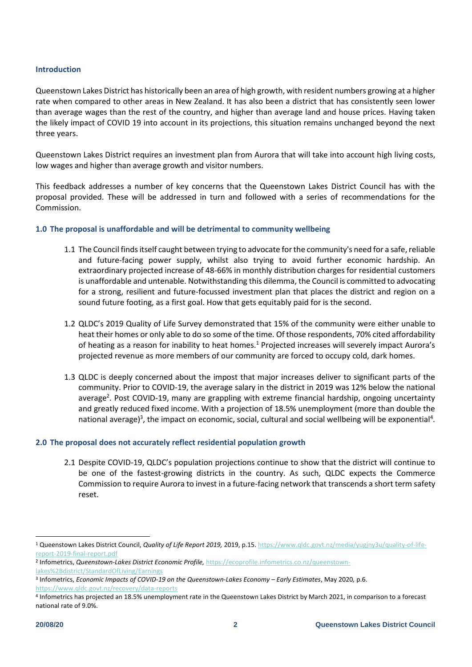## **Introduction**

Queenstown Lakes District has historically been an area of high growth, with resident numbers growing at a higher rate when compared to other areas in New Zealand. It has also been a district that has consistently seen lower than average wages than the rest of the country, and higher than average land and house prices. Having taken the likely impact of COVID 19 into account in its projections, this situation remains unchanged beyond the next three years.

Queenstown Lakes District requires an investment plan from Aurora that will take into account high living costs, low wages and higher than average growth and visitor numbers.

This feedback addresses a number of key concerns that the Queenstown Lakes District Council has with the proposal provided. These will be addressed in turn and followed with a series of recommendations for the Commission.

#### **1.0 The proposal is unaffordable and will be detrimental to community wellbeing**

- 1.1 The Council finds itself caught between trying to advocate for the community's need for a safe, reliable and future-facing power supply, whilst also trying to avoid further economic hardship. An extraordinary projected increase of 48-66% in monthly distribution charges for residential customers is unaffordable and untenable. Notwithstanding this dilemma, the Council is committed to advocating for a strong, resilient and future-focussed investment plan that places the district and region on a sound future footing, as a first goal. How that gets equitably paid for is the second.
- 1.2 QLDC's 2019 Quality of Life Survey demonstrated that 15% of the community were either unable to heat their homes or only able to do so some of the time. Of those respondents, 70% cited affordability of heating as a reason for inability to heat homes.<sup>1</sup> Projected increases will severely impact Aurora's projected revenue as more members of our community are forced to occupy cold, dark homes.
- 1.3 QLDC is deeply concerned about the impost that major increases deliver to significant parts of the community. Prior to COVID-19, the average salary in the district in 2019 was 12% below the national average<sup>2</sup>. Post COVID-19, many are grappling with extreme financial hardship, ongoing uncertainty and greatly reduced fixed income. With a projection of 18.5% unemployment (more than double the national average)<sup>3</sup>, the impact on economic, social, cultural and social wellbeing will be exponential<sup>4</sup>.

## **2.0 The proposal does not accurately reflect residential population growth**

2.1 Despite COVID-19, QLDC's population projections continue to show that the district will continue to be one of the fastest-growing districts in the country. As such, QLDC expects the Commerce Commission to require Aurora to invest in a future-facing network that transcends a short term safety reset.

-

<sup>1</sup> Queenstown Lakes District Council, *Quality of Life Report 2019,* 2019, p.15. [https://www.qldc.govt.nz/media/yugjny3u/quality-of-life](https://www.qldc.govt.nz/media/yugjny3u/quality-of-life-report-2019-final-report.pdf)[report-2019-final-report.pdf](https://www.qldc.govt.nz/media/yugjny3u/quality-of-life-report-2019-final-report.pdf)

<sup>2</sup> Infometrics, *Queenstown-Lakes District Economic Profile,* [https://ecoprofile.infometrics.co.nz/queenstown](https://ecoprofile.infometrics.co.nz/queenstown-lakes%2Bdistrict/StandardOfLiving/Earnings)[lakes%2Bdistrict/StandardOfLiving/Earnings](https://ecoprofile.infometrics.co.nz/queenstown-lakes%2Bdistrict/StandardOfLiving/Earnings)

<sup>&</sup>lt;sup>3</sup> Infometrics, *Economic Impacts of COVID-19 on the Queenstown-Lakes Economy – Early Estimates, May 2020, p.6.* <https://www.qldc.govt.nz/recovery/data-reports>

<sup>4</sup> Infometrics has projected an 18.5% unemployment rate in the Queenstown Lakes District by March 2021, in comparison to a forecast national rate of 9.0%.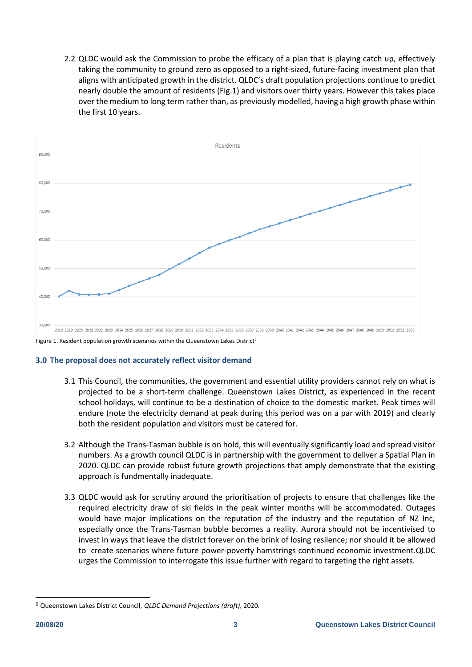2.2 QLDC would ask the Commission to probe the efficacy of a plan that is playing catch up, effectively taking the community to ground zero as opposed to a right-sized, future-facing investment plan that aligns with anticipated growth in the district. QLDC's draft population projections continue to predict nearly double the amount of residents (Fig.1) and visitors over thirty years. However this takes place over the medium to long term rather than, as previously modelled, having a high growth phase within the first 10 years.



## **3.0 The proposal does not accurately reflect visitor demand**

- 3.1 This Council, the communities, the government and essential utility providers cannot rely on what is projected to be a short-term challenge. Queenstown Lakes District, as experienced in the recent school holidays, will continue to be a destination of choice to the domestic market. Peak times will endure (note the electricity demand at peak during this period was on a par with 2019) and clearly both the resident population and visitors must be catered for.
- 3.2 Although the Trans-Tasman bubble is on hold, this will eventually significantly load and spread visitor numbers. As a growth council QLDC is in partnership with the government to deliver a Spatial Plan in 2020. QLDC can provide robust future growth projections that amply demonstrate that the existing approach is fundmentally inadequate.
- 3.3 QLDC would ask for scrutiny around the prioritisation of projects to ensure that challenges like the required electricity draw of ski fields in the peak winter months will be accommodated. Outages would have major implications on the reputation of the industry and the reputation of NZ Inc, especially once the Trans-Tasman bubble becomes a reality. Aurora should not be incentivised to invest in ways that leave the district forever on the brink of losing resilence; nor should it be allowed to create scenarios where future power-poverty hamstrings continued economic investment.QLDC urges the Commission to interrogate this issue further with regard to targeting the right assets.

-

<sup>5</sup> Queenstown Lakes District Council, *QLDC Demand Projections (draft),* 2020.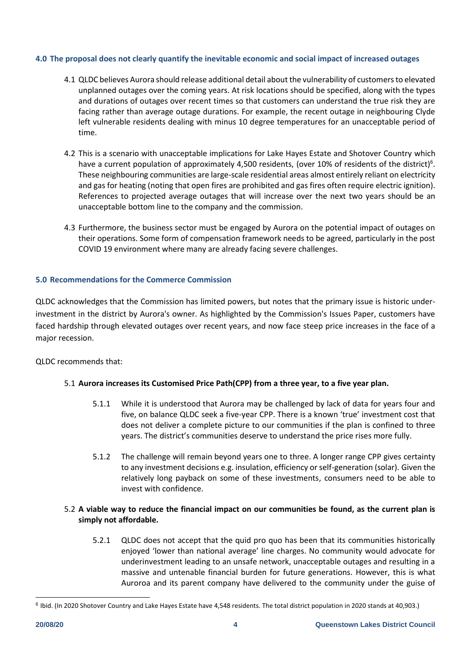## **4.0 The proposal does not clearly quantify the inevitable economic and social impact of increased outages**

- 4.1 QLDC believes Aurora should release additional detail about the vulnerability of customers to elevated unplanned outages over the coming years. At risk locations should be specified, along with the types and durations of outages over recent times so that customers can understand the true risk they are facing rather than average outage durations. For example, the recent outage in neighbouring Clyde left vulnerable residents dealing with minus 10 degree temperatures for an unacceptable period of time.
- 4.2 This is a scenario with unacceptable implications for Lake Hayes Estate and Shotover Country which have a current population of approximately 4,500 residents, (over 10% of residents of the district)<sup>6</sup>. These neighbouring communities are large-scale residential areas almost entirely reliant on electricity and gas for heating (noting that open fires are prohibited and gas fires often require electric ignition). References to projected average outages that will increase over the next two years should be an unacceptable bottom line to the company and the commission.
- 4.3 Furthermore, the business sector must be engaged by Aurora on the potential impact of outages on their operations. Some form of compensation framework needs to be agreed, particularly in the post COVID 19 environment where many are already facing severe challenges.

# **5.0 Recommendations for the Commerce Commission**

QLDC acknowledges that the Commission has limited powers, but notes that the primary issue is historic underinvestment in the district by Aurora's owner. As highlighted by the Commission's Issues Paper, customers have faced hardship through elevated outages over recent years, and now face steep price increases in the face of a major recession.

QLDC recommends that:

# 5.1 **Aurora increases its Customised Price Path(CPP) from a three year, to a five year plan.**

- 5.1.1 While it is understood that Aurora may be challenged by lack of data for years four and five, on balance QLDC seek a five-year CPP. There is a known 'true' investment cost that does not deliver a complete picture to our communities if the plan is confined to three years. The district's communities deserve to understand the price rises more fully.
- 5.1.2 The challenge will remain beyond years one to three. A longer range CPP gives certainty to any investment decisions e.g. insulation, efficiency or self-generation (solar). Given the relatively long payback on some of these investments, consumers need to be able to invest with confidence.

# 5.2 **A viable way to reduce the financial impact on our communities be found, as the current plan is simply not affordable.**

5.2.1 QLDC does not accept that the quid pro quo has been that its communities historically enjoyed 'lower than national average' line charges. No community would advocate for underinvestment leading to an unsafe network, unacceptable outages and resulting in a massive and untenable financial burden for future generations. However, this is what Auroroa and its parent company have delivered to the community under the guise of

-

<sup>&</sup>lt;sup>6</sup> Ibid. (In 2020 Shotover Country and Lake Hayes Estate have 4,548 residents. The total district population in 2020 stands at 40,903.)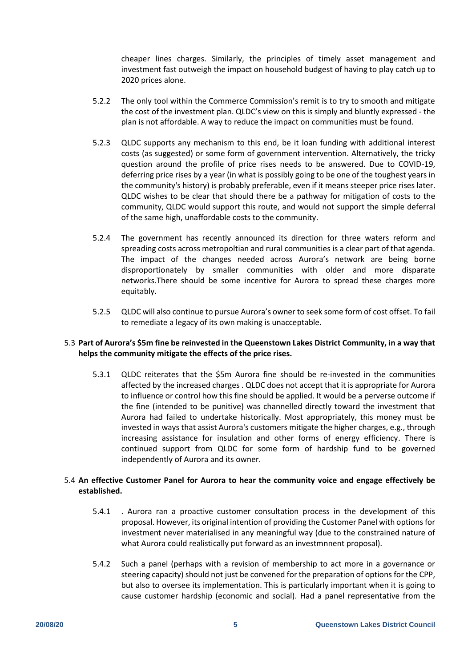cheaper lines charges. Similarly, the principles of timely asset management and investment fast outweigh the impact on household budgest of having to play catch up to 2020 prices alone.

- 5.2.2 The only tool within the Commerce Commission's remit is to try to smooth and mitigate the cost of the investment plan. QLDC's view on this is simply and bluntly expressed - the plan is not affordable. A way to reduce the impact on communities must be found.
- 5.2.3 QLDC supports any mechanism to this end, be it loan funding with additional interest costs (as suggested) or some form of government intervention. Alternatively, the tricky question around the profile of price rises needs to be answered. Due to COVID-19, deferring price rises by a year (in what is possibly going to be one of the toughest years in the community's history) is probably preferable, even if it means steeper price rises later. QLDC wishes to be clear that should there be a pathway for mitigation of costs to the community, QLDC would support this route, and would not support the simple deferral of the same high, unaffordable costs to the community.
- 5.2.4 The government has recently announced its direction for three waters reform and spreading costs across metropoltian and rural communities is a clear part of that agenda. The impact of the changes needed across Aurora's network are being borne disproportionately by smaller communities with older and more disparate networks.There should be some incentive for Aurora to spread these charges more equitably.
- 5.2.5 QLDC will also continue to pursue Aurora's owner to seek some form of cost offset. To fail to remediate a legacy of its own making is unacceptable.

# 5.3 **Part of Aurora's \$5m fine be reinvested in the Queenstown Lakes District Community, in a way that helps the community mitigate the effects of the price rises.**

5.3.1 QLDC reiterates that the \$5m Aurora fine should be re-invested in the communities affected by the increased charges . QLDC does not accept that it is appropriate for Aurora to influence or control how this fine should be applied. It would be a perverse outcome if the fine (intended to be punitive) was channelled directly toward the investment that Aurora had failed to undertake historically. Most appropriately, this money must be invested in ways that assist Aurora's customers mitigate the higher charges, e.g., through increasing assistance for insulation and other forms of energy efficiency. There is continued support from QLDC for some form of hardship fund to be governed independently of Aurora and its owner.

# 5.4 **An effective Customer Panel for Aurora to hear the community voice and engage effectively be established.**

- 5.4.1 . Aurora ran a proactive customer consultation process in the development of this proposal. However, its original intention of providing the Customer Panel with options for investment never materialised in any meaningful way (due to the constrained nature of what Aurora could realistically put forward as an investmnnent proposal).
- 5.4.2 Such a panel (perhaps with a revision of membership to act more in a governance or steering capacity) should not just be convened for the preparation of options for the CPP, but also to oversee its implementation. This is particularly important when it is going to cause customer hardship (economic and social). Had a panel representative from the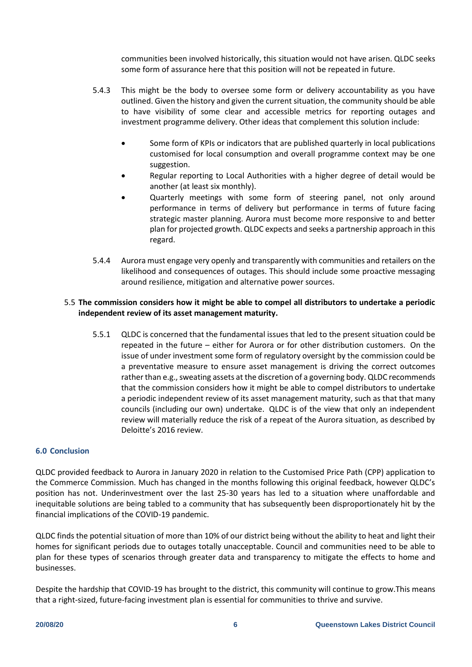communities been involved historically, this situation would not have arisen. QLDC seeks some form of assurance here that this position will not be repeated in future.

- 5.4.3 This might be the body to oversee some form or delivery accountability as you have outlined. Given the history and given the current situation, the community should be able to have visibility of some clear and accessible metrics for reporting outages and investment programme delivery. Other ideas that complement this solution include:
	- Some form of KPIs or indicators that are published quarterly in local publications customised for local consumption and overall programme context may be one suggestion.
	- Regular reporting to Local Authorities with a higher degree of detail would be another (at least six monthly).
	- Quarterly meetings with some form of steering panel, not only around performance in terms of delivery but performance in terms of future facing strategic master planning. Aurora must become more responsive to and better plan for projected growth. QLDC expects and seeks a partnership approach in this regard.
- 5.4.4 Aurora must engage very openly and transparently with communities and retailers on the likelihood and consequences of outages. This should include some proactive messaging around resilience, mitigation and alternative power sources.

# 5.5 **The commission considers how it might be able to compel all distributors to undertake a periodic independent review of its asset management maturity.**

5.5.1 QLDC is concerned that the fundamental issues that led to the present situation could be repeated in the future – either for Aurora or for other distribution customers. On the issue of under investment some form of regulatory oversight by the commission could be a preventative measure to ensure asset management is driving the correct outcomes rather than e.g., sweating assets at the discretion of a governing body. QLDC recommends that the commission considers how it might be able to compel distributors to undertake a periodic independent review of its asset management maturity, such as that that many councils (including our own) undertake. QLDC is of the view that only an independent review will materially reduce the risk of a repeat of the Aurora situation, as described by Deloitte's 2016 review.

# **6.0 Conclusion**

QLDC provided feedback to Aurora in January 2020 in relation to the Customised Price Path (CPP) application to the Commerce Commission. Much has changed in the months following this original feedback, however QLDC's position has not. Underinvestment over the last 25-30 years has led to a situation where unaffordable and inequitable solutions are being tabled to a community that has subsequently been disproportionately hit by the financial implications of the COVID-19 pandemic.

QLDC finds the potential situation of more than 10% of our district being without the ability to heat and light their homes for significant periods due to outages totally unacceptable. Council and communities need to be able to plan for these types of scenarios through greater data and transparency to mitigate the effects to home and businesses.

Despite the hardship that COVID-19 has brought to the district, this community will continue to grow.This means that a right-sized, future-facing investment plan is essential for communities to thrive and survive.